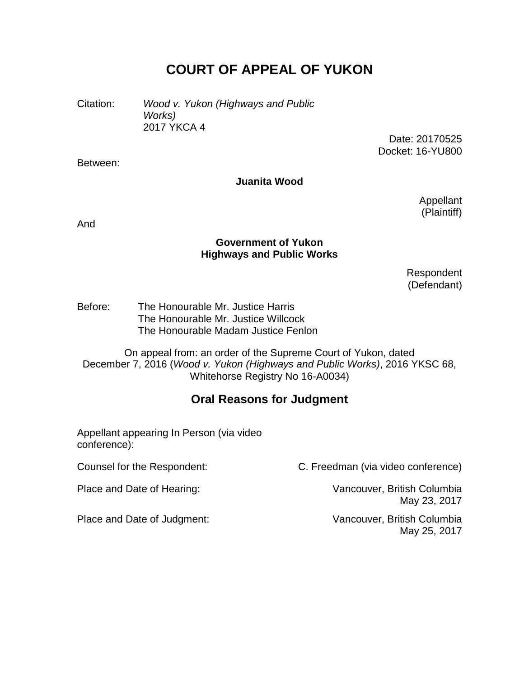# **COURT OF APPEAL OF YUKON**

Citation: *Wood v. Yukon (Highways and Public Works)* 2017 YKCA 4

> Date: 20170525 Docket: 16-YU800

Between:

#### **Juanita Wood**

Appellant (Plaintiff)

And

#### **Government of Yukon Highways and Public Works**

Respondent (Defendant)

Before: The Honourable Mr. Justice Harris The Honourable Mr. Justice Willcock The Honourable Madam Justice Fenlon

On appeal from: an order of the Supreme Court of Yukon, dated December 7, 2016 (*Wood v. Yukon (Highways and Public Works)*, 2016 YKSC 68, Whitehorse Registry No 16-A0034)

# **Oral Reasons for Judgment**

Appellant appearing In Person (via video conference):

Place and Date of Judgment: Vancouver, British Columbia

Counsel for the Respondent: C. Freedman (via video conference)

Place and Date of Hearing: Vancouver, British Columbia May 23, 2017

May 25, 2017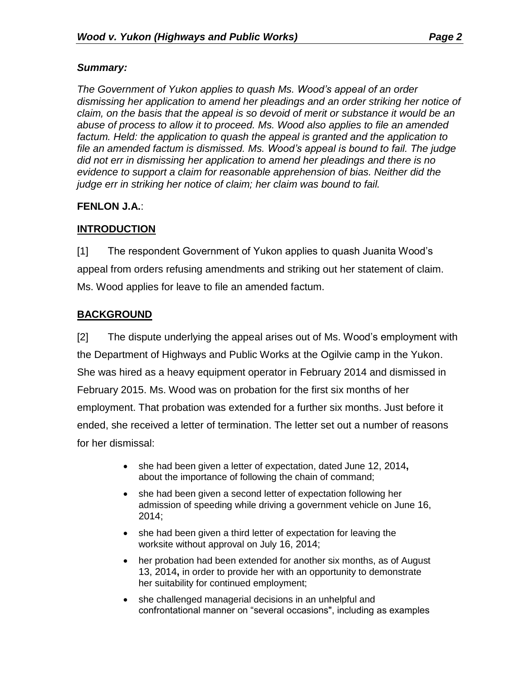#### *Summary:*

*The Government of Yukon applies to quash Ms. Wood's appeal of an order dismissing her application to amend her pleadings and an order striking her notice of claim, on the basis that the appeal is so devoid of merit or substance it would be an abuse of process to allow it to proceed. Ms. Wood also applies to file an amended factum. Held: the application to quash the appeal is granted and the application to file an amended factum is dismissed. Ms. Wood's appeal is bound to fail. The judge did not err in dismissing her application to amend her pleadings and there is no evidence to support a claim for reasonable apprehension of bias. Neither did the judge err in striking her notice of claim; her claim was bound to fail.* 

## **FENLON J.A.**:

# **INTRODUCTION**

[1] The respondent Government of Yukon applies to quash Juanita Wood's appeal from orders refusing amendments and striking out her statement of claim. Ms. Wood applies for leave to file an amended factum.

# **BACKGROUND**

[2] The dispute underlying the appeal arises out of Ms. Wood's employment with the Department of Highways and Public Works at the Ogilvie camp in the Yukon. She was hired as a heavy equipment operator in February 2014 and dismissed in February 2015. Ms. Wood was on probation for the first six months of her employment. That probation was extended for a further six months. Just before it ended, she received a letter of termination. The letter set out a number of reasons for her dismissal:

- she had been given a letter of expectation, dated June 12, 2014**,**  about the importance of following the chain of command;
- she had been given a second letter of expectation following her admission of speeding while driving a government vehicle on June 16, 2014;
- she had been given a third letter of expectation for leaving the worksite without approval on July 16, 2014;
- her probation had been extended for another six months, as of August 13, 2014**,** in order to provide her with an opportunity to demonstrate her suitability for continued employment;
- she challenged managerial decisions in an unhelpful and confrontational manner on "several occasions", including as examples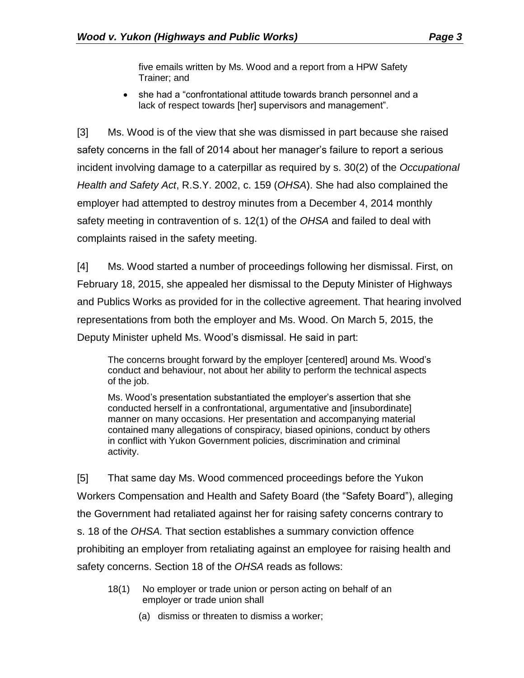five emails written by Ms. Wood and a report from a HPW Safety Trainer; and

 she had a "confrontational attitude towards branch personnel and a lack of respect towards [her] supervisors and management".

[3] Ms. Wood is of the view that she was dismissed in part because she raised safety concerns in the fall of 2014 about her manager's failure to report a serious incident involving damage to a caterpillar as required by s. 30(2) of the *Occupational Health and Safety Act*, R.S.Y. 2002, c. 159 (*OHSA*). She had also complained the employer had attempted to destroy minutes from a December 4, 2014 monthly safety meeting in contravention of s. 12(1) of the *OHSA* and failed to deal with complaints raised in the safety meeting.

[4] Ms. Wood started a number of proceedings following her dismissal. First, on February 18, 2015, she appealed her dismissal to the Deputy Minister of Highways and Publics Works as provided for in the collective agreement. That hearing involved representations from both the employer and Ms. Wood. On March 5, 2015, the Deputy Minister upheld Ms. Wood's dismissal. He said in part:

The concerns brought forward by the employer [centered] around Ms. Wood's conduct and behaviour, not about her ability to perform the technical aspects of the job.

Ms. Wood's presentation substantiated the employer's assertion that she conducted herself in a confrontational, argumentative and [insubordinate] manner on many occasions. Her presentation and accompanying material contained many allegations of conspiracy, biased opinions, conduct by others in conflict with Yukon Government policies, discrimination and criminal activity.

[5] That same day Ms. Wood commenced proceedings before the Yukon Workers Compensation and Health and Safety Board (the "Safety Board"), alleging the Government had retaliated against her for raising safety concerns contrary to s. 18 of the *OHSA.* That section establishes a summary conviction offence prohibiting an employer from retaliating against an employee for raising health and safety concerns. Section 18 of the *OHSA* reads as follows:

- 18(1) No employer or trade union or person acting on behalf of an employer or trade union shall
	- (a) dismiss or threaten to dismiss a worker;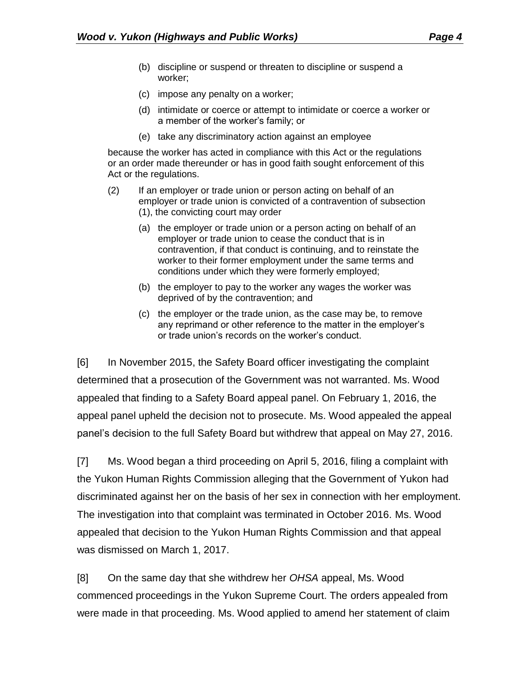- (b) discipline or suspend or threaten to discipline or suspend a worker;
- (c) impose any penalty on a worker;
- (d) intimidate or coerce or attempt to intimidate or coerce a worker or a member of the worker's family; or
- (e) take any discriminatory action against an employee

because the worker has acted in compliance with this Act or the regulations or an order made thereunder or has in good faith sought enforcement of this Act or the regulations.

- (2) If an employer or trade union or person acting on behalf of an employer or trade union is convicted of a contravention of subsection (1), the convicting court may order
	- (a) the employer or trade union or a person acting on behalf of an employer or trade union to cease the conduct that is in contravention, if that conduct is continuing, and to reinstate the worker to their former employment under the same terms and conditions under which they were formerly employed;
	- (b) the employer to pay to the worker any wages the worker was deprived of by the contravention; and
	- (c) the employer or the trade union, as the case may be, to remove any reprimand or other reference to the matter in the employer's or trade union's records on the worker's conduct.

[6] In November 2015, the Safety Board officer investigating the complaint determined that a prosecution of the Government was not warranted. Ms. Wood appealed that finding to a Safety Board appeal panel. On February 1, 2016, the appeal panel upheld the decision not to prosecute. Ms. Wood appealed the appeal panel's decision to the full Safety Board but withdrew that appeal on May 27, 2016.

[7] Ms. Wood began a third proceeding on April 5, 2016, filing a complaint with the Yukon Human Rights Commission alleging that the Government of Yukon had discriminated against her on the basis of her sex in connection with her employment. The investigation into that complaint was terminated in October 2016. Ms. Wood appealed that decision to the Yukon Human Rights Commission and that appeal was dismissed on March 1, 2017.

[8] On the same day that she withdrew her *OHSA* appeal, Ms. Wood commenced proceedings in the Yukon Supreme Court. The orders appealed from were made in that proceeding. Ms. Wood applied to amend her statement of claim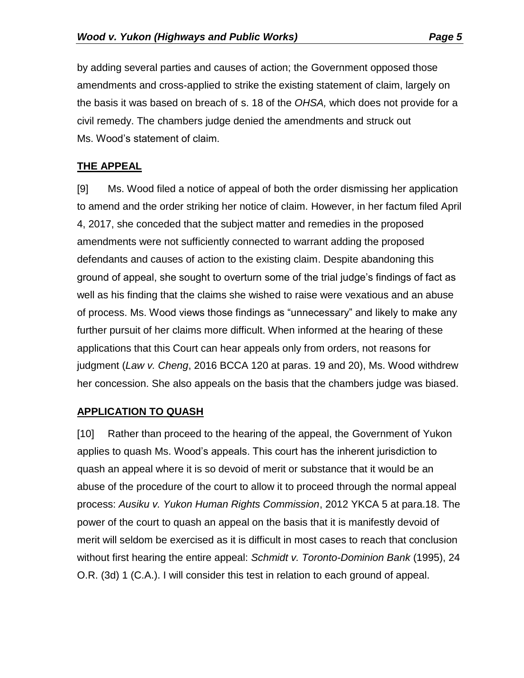by adding several parties and causes of action; the Government opposed those amendments and cross-applied to strike the existing statement of claim, largely on the basis it was based on breach of s. 18 of the *OHSA,* which does not provide for a civil remedy. The chambers judge denied the amendments and struck out Ms. Wood's statement of claim.

#### **THE APPEAL**

[9] Ms. Wood filed a notice of appeal of both the order dismissing her application to amend and the order striking her notice of claim. However, in her factum filed April 4, 2017, she conceded that the subject matter and remedies in the proposed amendments were not sufficiently connected to warrant adding the proposed defendants and causes of action to the existing claim. Despite abandoning this ground of appeal, she sought to overturn some of the trial judge's findings of fact as well as his finding that the claims she wished to raise were vexatious and an abuse of process. Ms. Wood views those findings as "unnecessary" and likely to make any further pursuit of her claims more difficult. When informed at the hearing of these applications that this Court can hear appeals only from orders, not reasons for judgment (*Law v. Cheng*, 2016 BCCA 120 at paras. 19 and 20), Ms. Wood withdrew her concession. She also appeals on the basis that the chambers judge was biased.

## **APPLICATION TO QUASH**

[10] Rather than proceed to the hearing of the appeal, the Government of Yukon applies to quash Ms. Wood's appeals. This court has the inherent jurisdiction to quash an appeal where it is so devoid of merit or substance that it would be an abuse of the procedure of the court to allow it to proceed through the normal appeal process: *Ausiku v. Yukon Human Rights Commission*, 2012 YKCA 5 at para.18. The power of the court to quash an appeal on the basis that it is manifestly devoid of merit will seldom be exercised as it is difficult in most cases to reach that conclusion without first hearing the entire appeal: *Schmidt v. Toronto-Dominion Bank* (1995), 24 O.R. (3d) 1 (C.A.). I will consider this test in relation to each ground of appeal.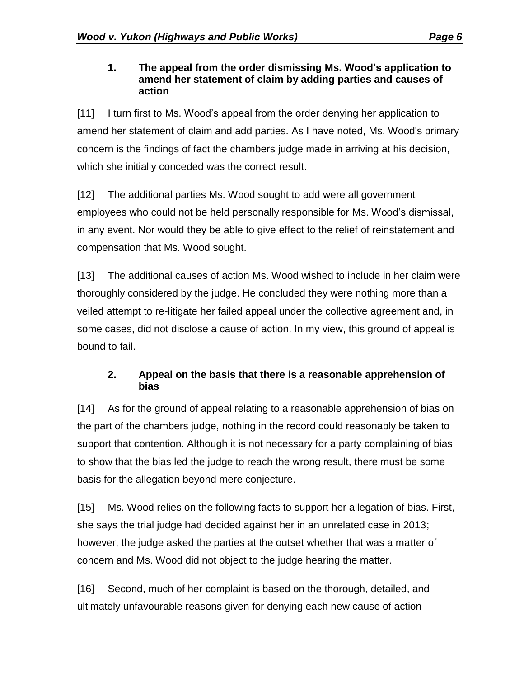#### **1. The appeal from the order dismissing Ms. Wood's application to amend her statement of claim by adding parties and causes of action**

[11] I turn first to Ms. Wood's appeal from the order denying her application to amend her statement of claim and add parties. As I have noted, Ms. Wood's primary concern is the findings of fact the chambers judge made in arriving at his decision, which she initially conceded was the correct result.

[12] The additional parties Ms. Wood sought to add were all government employees who could not be held personally responsible for Ms. Wood's dismissal, in any event. Nor would they be able to give effect to the relief of reinstatement and compensation that Ms. Wood sought.

[13] The additional causes of action Ms. Wood wished to include in her claim were thoroughly considered by the judge. He concluded they were nothing more than a veiled attempt to re-litigate her failed appeal under the collective agreement and, in some cases, did not disclose a cause of action. In my view, this ground of appeal is bound to fail.

#### **2. Appeal on the basis that there is a reasonable apprehension of bias**

[14] As for the ground of appeal relating to a reasonable apprehension of bias on the part of the chambers judge, nothing in the record could reasonably be taken to support that contention. Although it is not necessary for a party complaining of bias to show that the bias led the judge to reach the wrong result, there must be some basis for the allegation beyond mere conjecture.

[15] Ms. Wood relies on the following facts to support her allegation of bias. First, she says the trial judge had decided against her in an unrelated case in 2013; however, the judge asked the parties at the outset whether that was a matter of concern and Ms. Wood did not object to the judge hearing the matter.

[16] Second, much of her complaint is based on the thorough, detailed, and ultimately unfavourable reasons given for denying each new cause of action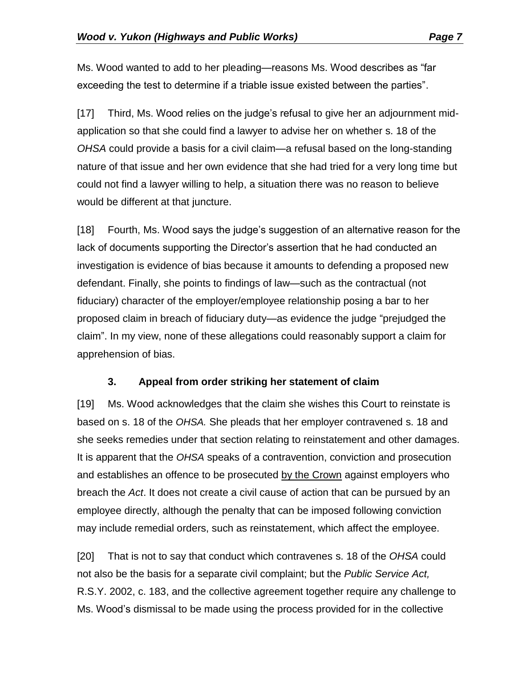Ms. Wood wanted to add to her pleading—reasons Ms. Wood describes as "far exceeding the test to determine if a triable issue existed between the parties".

[17] Third, Ms. Wood relies on the judge's refusal to give her an adjournment midapplication so that she could find a lawyer to advise her on whether s. 18 of the *OHSA* could provide a basis for a civil claim—a refusal based on the long-standing nature of that issue and her own evidence that she had tried for a very long time but could not find a lawyer willing to help, a situation there was no reason to believe would be different at that juncture.

[18] Fourth, Ms. Wood says the judge's suggestion of an alternative reason for the lack of documents supporting the Director's assertion that he had conducted an investigation is evidence of bias because it amounts to defending a proposed new defendant. Finally, she points to findings of law—such as the contractual (not fiduciary) character of the employer/employee relationship posing a bar to her proposed claim in breach of fiduciary duty—as evidence the judge "prejudged the claim". In my view, none of these allegations could reasonably support a claim for apprehension of bias.

#### **3. Appeal from order striking her statement of claim**

[19] Ms. Wood acknowledges that the claim she wishes this Court to reinstate is based on s. 18 of the *OHSA.* She pleads that her employer contravened s. 18 and she seeks remedies under that section relating to reinstatement and other damages. It is apparent that the *OHSA* speaks of a contravention, conviction and prosecution and establishes an offence to be prosecuted by the Crown against employers who breach the *Act*. It does not create a civil cause of action that can be pursued by an employee directly, although the penalty that can be imposed following conviction may include remedial orders, such as reinstatement, which affect the employee.

[20] That is not to say that conduct which contravenes s. 18 of the *OHSA* could not also be the basis for a separate civil complaint; but the *Public Service Act,*  R.S.Y. 2002, c. 183, and the collective agreement together require any challenge to Ms. Wood's dismissal to be made using the process provided for in the collective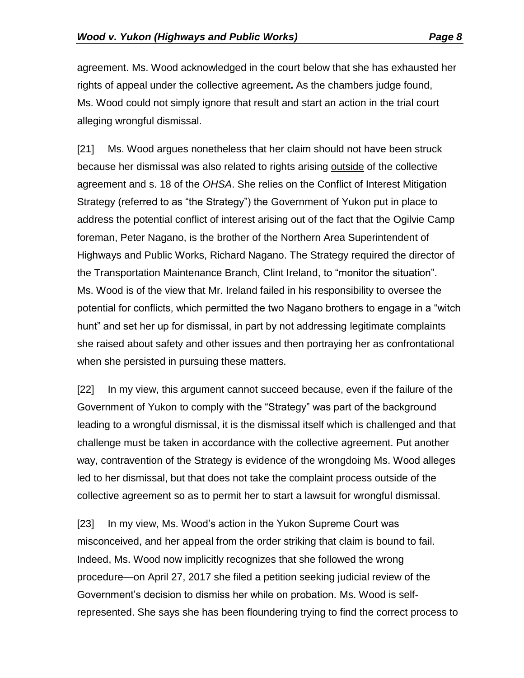agreement. Ms. Wood acknowledged in the court below that she has exhausted her rights of appeal under the collective agreement**.** As the chambers judge found, Ms. Wood could not simply ignore that result and start an action in the trial court alleging wrongful dismissal.

[21] Ms. Wood argues nonetheless that her claim should not have been struck because her dismissal was also related to rights arising outside of the collective agreement and s. 18 of the *OHSA*. She relies on the Conflict of Interest Mitigation Strategy (referred to as "the Strategy") the Government of Yukon put in place to address the potential conflict of interest arising out of the fact that the Ogilvie Camp foreman, Peter Nagano, is the brother of the Northern Area Superintendent of Highways and Public Works, Richard Nagano. The Strategy required the director of the Transportation Maintenance Branch, Clint Ireland, to "monitor the situation". Ms. Wood is of the view that Mr. Ireland failed in his responsibility to oversee the potential for conflicts, which permitted the two Nagano brothers to engage in a "witch hunt" and set her up for dismissal, in part by not addressing legitimate complaints she raised about safety and other issues and then portraying her as confrontational when she persisted in pursuing these matters.

[22] In my view, this argument cannot succeed because, even if the failure of the Government of Yukon to comply with the "Strategy" was part of the background leading to a wrongful dismissal, it is the dismissal itself which is challenged and that challenge must be taken in accordance with the collective agreement. Put another way, contravention of the Strategy is evidence of the wrongdoing Ms. Wood alleges led to her dismissal, but that does not take the complaint process outside of the collective agreement so as to permit her to start a lawsuit for wrongful dismissal.

[23] In my view, Ms. Wood's action in the Yukon Supreme Court was misconceived, and her appeal from the order striking that claim is bound to fail. Indeed, Ms. Wood now implicitly recognizes that she followed the wrong procedure—on April 27, 2017 she filed a petition seeking judicial review of the Government's decision to dismiss her while on probation. Ms. Wood is selfrepresented. She says she has been floundering trying to find the correct process to